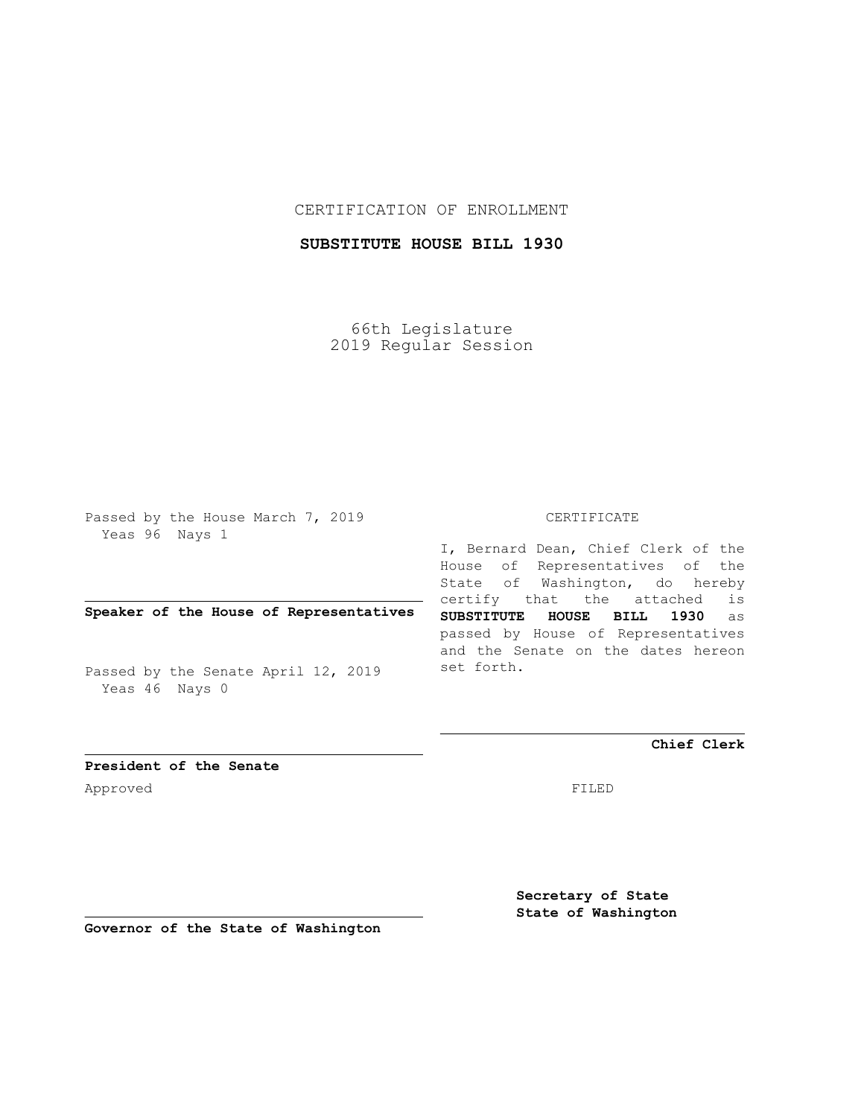## CERTIFICATION OF ENROLLMENT

# **SUBSTITUTE HOUSE BILL 1930**

66th Legislature 2019 Regular Session

Passed by the House March 7, 2019 Yeas 96 Nays 1

## **Speaker of the House of Representatives**

Passed by the Senate April 12, 2019 Yeas 46 Nays 0

#### CERTIFICATE

I, Bernard Dean, Chief Clerk of the House of Representatives of the State of Washington, do hereby certify that the attached is **SUBSTITUTE HOUSE BILL 1930** as passed by House of Representatives and the Senate on the dates hereon set forth.

**Chief Clerk**

Approved FILED

**President of the Senate**

**Secretary of State State of Washington**

**Governor of the State of Washington**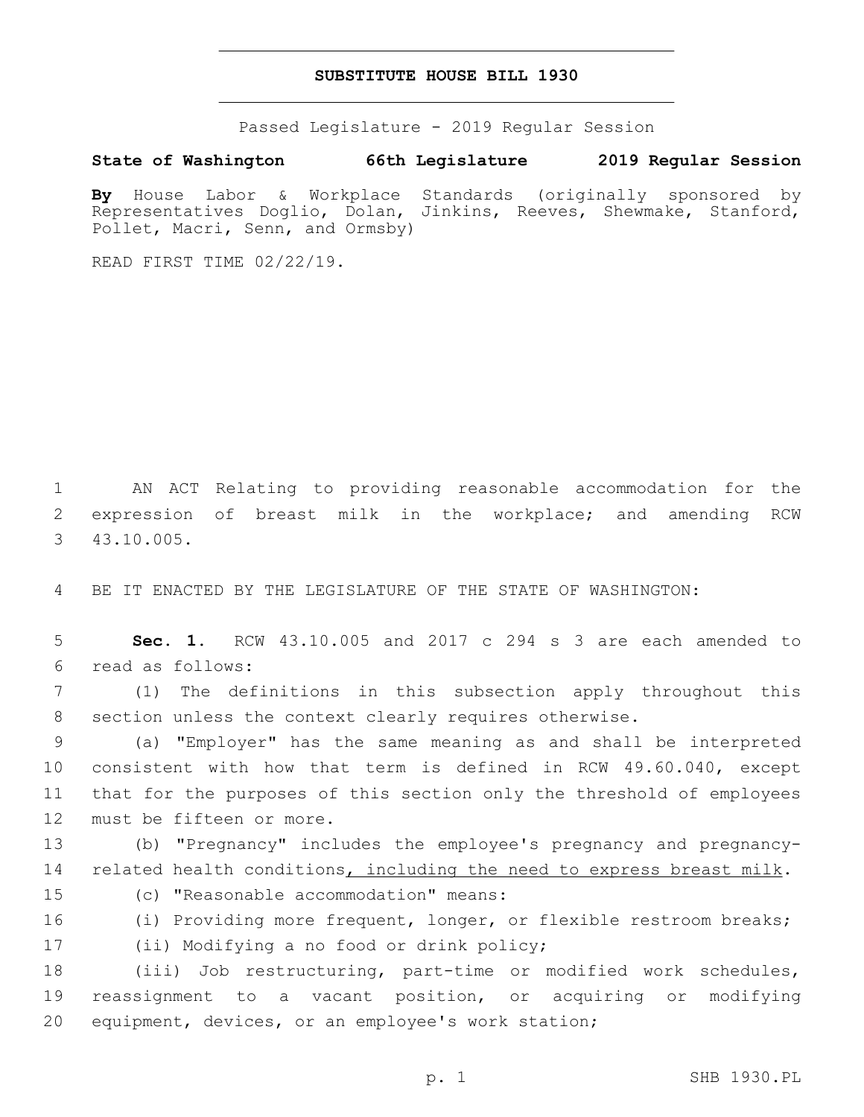### **SUBSTITUTE HOUSE BILL 1930**

Passed Legislature - 2019 Regular Session

### **State of Washington 66th Legislature 2019 Regular Session**

**By** House Labor & Workplace Standards (originally sponsored by Representatives Doglio, Dolan, Jinkins, Reeves, Shewmake, Stanford, Pollet, Macri, Senn, and Ormsby)

READ FIRST TIME 02/22/19.

1 AN ACT Relating to providing reasonable accommodation for the 2 expression of breast milk in the workplace; and amending RCW 43.10.005.3

4 BE IT ENACTED BY THE LEGISLATURE OF THE STATE OF WASHINGTON:

5 **Sec. 1.** RCW 43.10.005 and 2017 c 294 s 3 are each amended to read as follows:6

7 (1) The definitions in this subsection apply throughout this 8 section unless the context clearly requires otherwise.

 (a) "Employer" has the same meaning as and shall be interpreted consistent with how that term is defined in RCW 49.60.040, except that for the purposes of this section only the threshold of employees 12 must be fifteen or more.

13 (b) "Pregnancy" includes the employee's pregnancy and pregnancy-14 related health conditions, including the need to express breast milk.

15 (c) "Reasonable accommodation" means:

16 (i) Providing more frequent, longer, or flexible restroom breaks; 17 (ii) Modifying a no food or drink policy;

18 (iii) Job restructuring, part-time or modified work schedules, 19 reassignment to a vacant position, or acquiring or modifying 20 equipment, devices, or an employee's work station;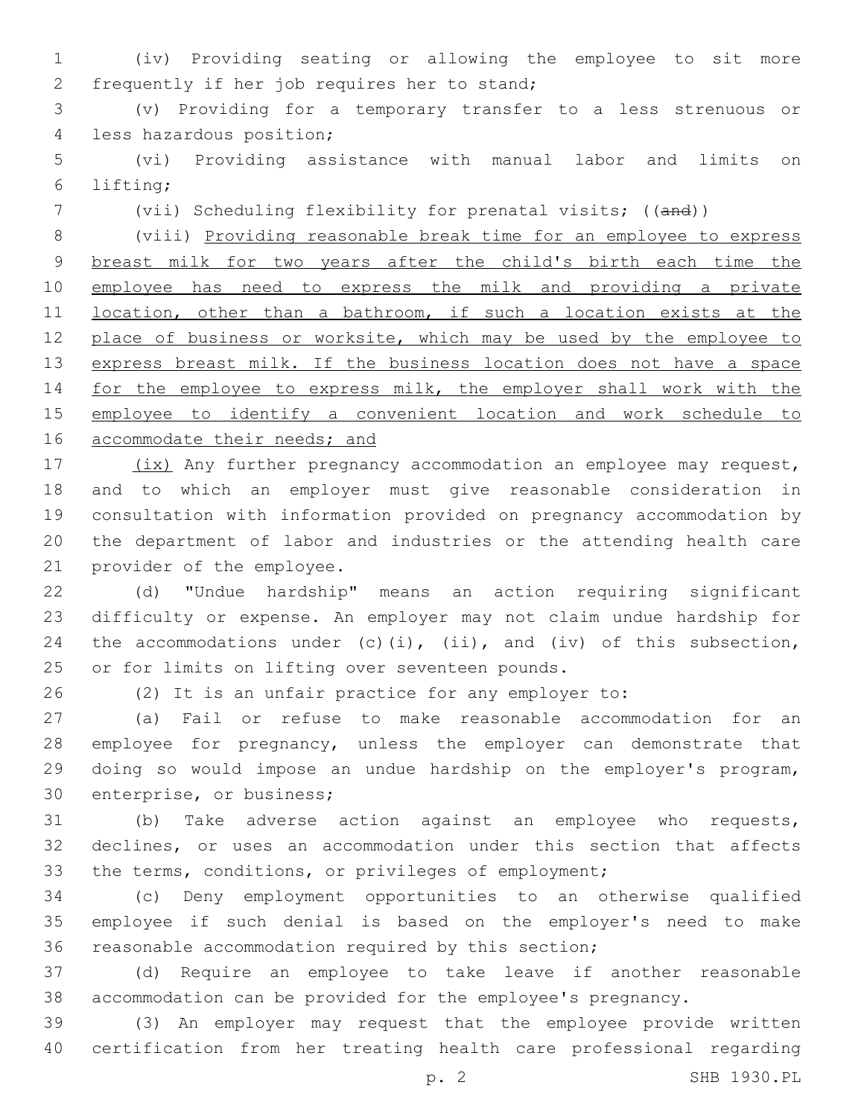(iv) Providing seating or allowing the employee to sit more 2 frequently if her job requires her to stand;

 (v) Providing for a temporary transfer to a less strenuous or 4 less hazardous position;

 (vi) Providing assistance with manual labor and limits on lifting;6

(vii) Scheduling flexibility for prenatal visits; ((and))

 (viii) Providing reasonable break time for an employee to express breast milk for two years after the child's birth each time the employee has need to express the milk and providing a private 11 location, other than a bathroom, if such a location exists at the 12 place of business or worksite, which may be used by the employee to 13 express breast milk. If the business location does not have a space 14 for the employee to express milk, the employer shall work with the employee to identify a convenient location and work schedule to 16 accommodate their needs; and

17 (ix) Any further pregnancy accommodation an employee may request, and to which an employer must give reasonable consideration in consultation with information provided on pregnancy accommodation by the department of labor and industries or the attending health care 21 provider of the employee.

 (d) "Undue hardship" means an action requiring significant difficulty or expense. An employer may not claim undue hardship for 24 the accommodations under  $(c)$  (i), (ii), and (iv) of this subsection, 25 or for limits on lifting over seventeen pounds.

(2) It is an unfair practice for any employer to:

 (a) Fail or refuse to make reasonable accommodation for an employee for pregnancy, unless the employer can demonstrate that doing so would impose an undue hardship on the employer's program, 30 enterprise, or business;

 (b) Take adverse action against an employee who requests, declines, or uses an accommodation under this section that affects the terms, conditions, or privileges of employment;

 (c) Deny employment opportunities to an otherwise qualified employee if such denial is based on the employer's need to make reasonable accommodation required by this section;

 (d) Require an employee to take leave if another reasonable accommodation can be provided for the employee's pregnancy.

 (3) An employer may request that the employee provide written certification from her treating health care professional regarding

p. 2 SHB 1930.PL